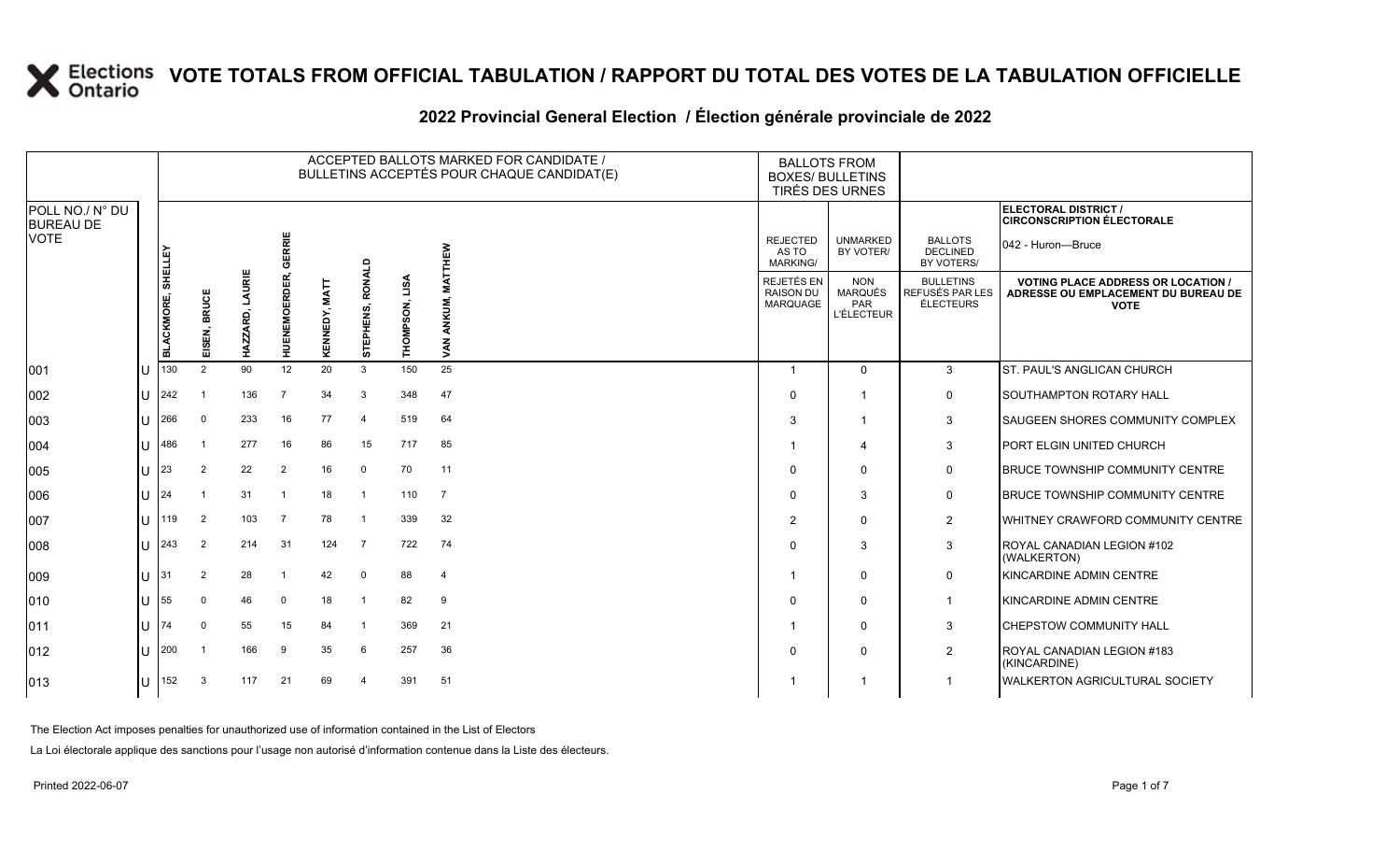|                                     |    |                   |                            |                    |                     |               |                     |                   | ACCEPTED BALLOTS MARKED FOR CANDIDATE /<br>BULLETINS ACCEPTÉS POUR CHAQUE CANDIDAT(E) | <b>BALLOTS FROM</b><br><b>BOXES/ BULLETINS</b>    | TIRÉS DES URNES                                   |                                                                |                                                                                                 |
|-------------------------------------|----|-------------------|----------------------------|--------------------|---------------------|---------------|---------------------|-------------------|---------------------------------------------------------------------------------------|---------------------------------------------------|---------------------------------------------------|----------------------------------------------------------------|-------------------------------------------------------------------------------------------------|
| POLL NO./ N° DU<br><b>BUREAU DE</b> |    |                   |                            |                    |                     |               |                     |                   |                                                                                       |                                                   |                                                   |                                                                | ELECTORAL DISTRICT /<br><b>CIRCONSCRIPTION ÉLECTORALE</b>                                       |
| VOTE                                |    | <b>SHELLEY</b>    |                            |                    | ERRIE<br>ल          |               |                     |                   | THEW                                                                                  | <b>REJECTED</b><br>AS TO<br><b>MARKING/</b>       | <b>UNMARKED</b><br>BY VOTER/                      | <b>BALLOTS</b><br><b>DECLINED</b><br>BY VOTERS/                | 042 - Huron—Bruce                                                                               |
|                                     |    | <b>BLACKMORE,</b> | <b>BRUCE</b><br>ISEN,<br>画 | LAURIE<br>HAZZARD, | <b>HUENEMOERDER</b> | KENNEDY, MATT | RONALD<br>STEPHENS, | LISA<br>THOMPSON, | IÀT<br>ANKUM,<br>VAN.                                                                 | REJETÉS EN<br><b>RAISON DU</b><br><b>MARQUAGE</b> | <b>NON</b><br>MARQUÉS<br>PAR<br><b>L'ÉLECTEUR</b> | <b>BULLETINS</b><br><b>REFUSÉS PAR LES</b><br><b>ÉLECTEURS</b> | <b>VOTING PLACE ADDRESS OR LOCATION /</b><br>ADRESSE OU EMPLACEMENT DU BUREAU DE<br><b>VOTE</b> |
| 001                                 |    | 130               | 2                          | 90                 | 12                  | 20            | 3                   | 150               | 25                                                                                    | $\overline{\mathbf{1}}$                           | $\Omega$                                          | 3                                                              | <b>ST. PAUL'S ANGLICAN CHURCH</b>                                                               |
| 002                                 | ПT | 242               | - 1                        | 136                | $\overline{7}$      | 34            | 3                   | 348               | 47                                                                                    | $\Omega$                                          |                                                   | 0                                                              | <b>SOUTHAMPTON ROTARY HALL</b>                                                                  |
| 003                                 | IU | 266               | $\mathbf 0$                | 233                | 16                  | 77            | $\overline{4}$      | 519               | 64                                                                                    | 3                                                 |                                                   | 3                                                              | <b>SAUGEEN SHORES COMMUNITY COMPLEX</b>                                                         |
| 004                                 | U  | 486               | -1                         | 277                | 16                  | 86            | 15                  | 717               | 85                                                                                    |                                                   | 4                                                 | 3                                                              | PORT ELGIN UNITED CHURCH                                                                        |
| 005                                 | ПJ | 23                | $\overline{2}$             | 22                 | $\overline{2}$      | 16            | $\mathbf 0$         | 70                | 11                                                                                    | $\Omega$                                          | $\mathbf{0}$                                      | 0                                                              | <b>BRUCE TOWNSHIP COMMUNITY CENTRE</b>                                                          |
| 006                                 | ПT | 124               | -1                         | 31                 | $\mathbf{1}$        | 18            | $\overline{1}$      | 110               | $\overline{7}$                                                                        | $\Omega$                                          | 3                                                 | 0                                                              | <b>BRUCE TOWNSHIP COMMUNITY CENTRE</b>                                                          |
| 007                                 | ΙU | 119               | $\overline{2}$             | 103                | $\overline{7}$      | 78            | -1                  | 339               | 32                                                                                    | 2                                                 | $\mathbf 0$                                       | $\overline{2}$                                                 | <b>IWHITNEY CRAWFORD COMMUNITY CENTRE</b>                                                       |
| 800                                 | U  | 243               | $\overline{2}$             | 214                | 31                  | 124           | $\overline{7}$      | 722               | 74                                                                                    | $\Omega$                                          | 3                                                 | 3                                                              | ROYAL CANADIAN LEGION #102<br>(WALKERTON)                                                       |
| 009                                 |    |                   | $\overline{2}$             | 28                 | -1                  | 42            | 0                   | 88                | 4                                                                                     | -1                                                | $\Omega$                                          | 0                                                              | KINCARDINE ADMIN CENTRE                                                                         |
| 010                                 |    | 55                | $\mathbf 0$                | 46                 | $\Omega$            | 18            |                     | 82                | 9                                                                                     | $\Omega$                                          | $\mathbf 0$                                       | $\overline{1}$                                                 | KINCARDINE ADMIN CENTRE                                                                         |
| 011                                 | ΙU | 174               | 0                          | 55                 | 15                  | 84            |                     | 369               | 21                                                                                    | -1                                                | $\Omega$                                          | 3                                                              | <b>CHEPSTOW COMMUNITY HALL</b>                                                                  |
| 012                                 | ПJ | 200               | - 1                        | 166                | 9                   | 35            | 6                   | 257               | 36                                                                                    | $\Omega$                                          | $\mathbf{0}$                                      | $\overline{2}$                                                 | ROYAL CANADIAN LEGION #183<br>(KINCARDINE)                                                      |
| 013                                 | U  | 152               | 3                          | 117                | 21                  | 69            | $\overline{a}$      | 391               | 51                                                                                    | -1                                                |                                                   |                                                                | <b>WALKERTON AGRICULTURAL SOCIETY</b>                                                           |
|                                     |    |                   |                            |                    |                     |               |                     |                   |                                                                                       |                                                   |                                                   |                                                                |                                                                                                 |

### **2022 Provincial General Election / Élection générale provinciale de 2022**

The Election Act imposes penalties for unauthorized use of information contained in the List of Electors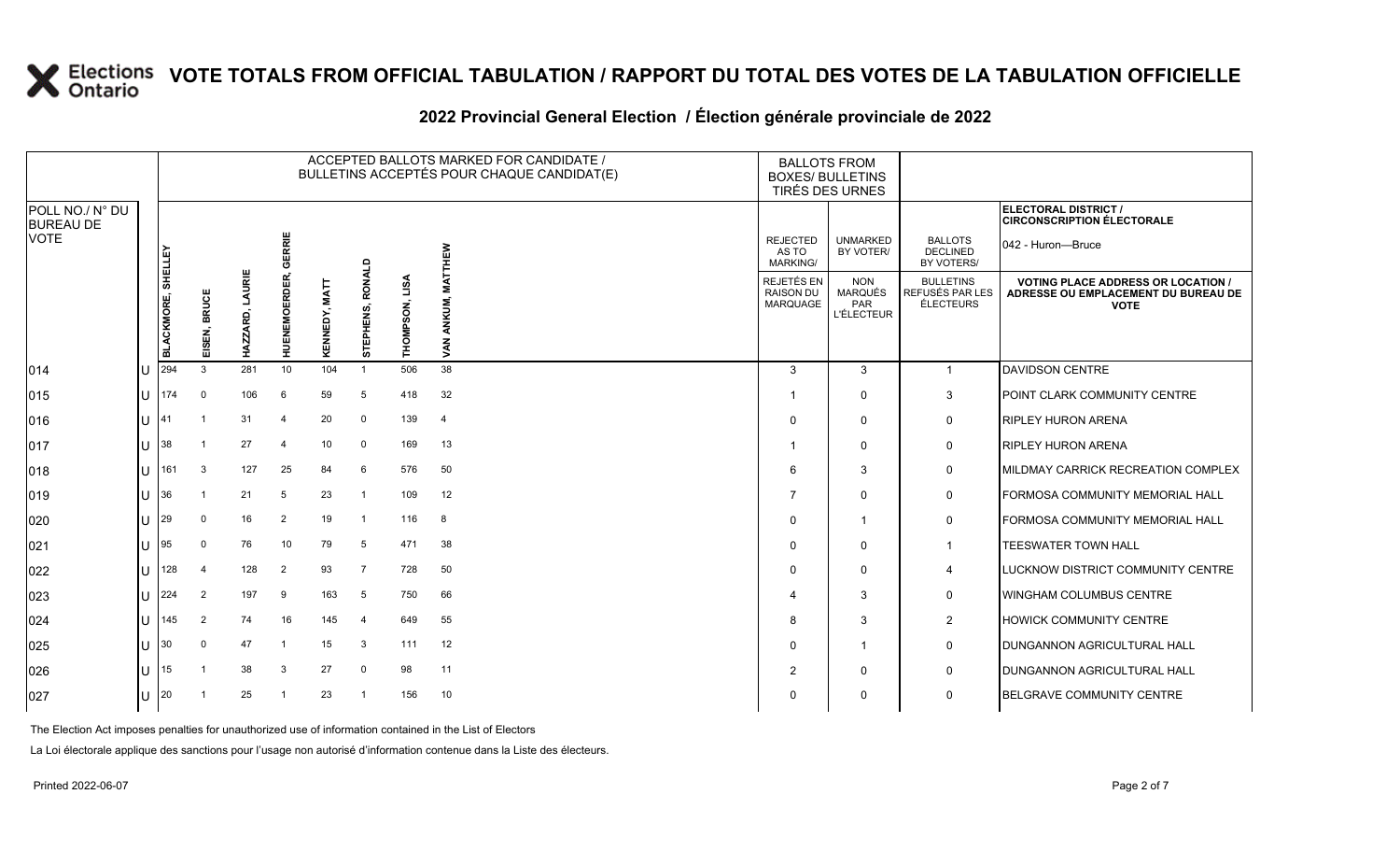|                                     |     |                          |                        |                    |                     |                         |                     |                |                           | ACCEPTED BALLOTS MARKED FOR CANDIDATE /<br>BULLETINS ACCEPTÉS POUR CHAQUE CANDIDAT(E) | <b>BALLOTS FROM</b><br><b>BOXES/ BULLETINS</b><br>TIRÉS DES URNES |                                                          |                                                  |                                                                                                 |
|-------------------------------------|-----|--------------------------|------------------------|--------------------|---------------------|-------------------------|---------------------|----------------|---------------------------|---------------------------------------------------------------------------------------|-------------------------------------------------------------------|----------------------------------------------------------|--------------------------------------------------|-------------------------------------------------------------------------------------------------|
| POLL NO./ N° DU<br><b>BUREAU DE</b> |     |                          |                        |                    |                     |                         |                     |                |                           |                                                                                       |                                                                   |                                                          |                                                  | ELECTORAL DISTRICT /<br><b>CIRCONSCRIPTION ÉLECTORALE</b>                                       |
| <b>VOTE</b>                         |     | <b>SHELLEY</b>           |                        |                    | GERRIE              |                         |                     |                | <b>NEW</b>                |                                                                                       | <b>REJECTED</b><br>AS TO<br><b>MARKING/</b>                       | <b>UNMARKED</b><br>BY VOTER/                             | <b>BALLOTS</b><br><b>DECLINED</b><br>BY VOTERS/  | 042 - Huron---Bruce                                                                             |
|                                     |     | <b>BLACKMORE,</b><br>294 | <b>BRUCE</b><br>EISEN, | LAURIE<br>HAZZARD, | <b>HUENEMOERDER</b> | <b>MATT</b><br>KENNEDY, | RONALD<br>STEPHENS, | THOMPSON, LISA | ≨<br>ANKUM,<br><b>VAN</b> |                                                                                       | REJETÉS EN<br><b>RAISON DU</b><br><b>MARQUAGE</b>                 | <b>NON</b><br><b>MARQUÉS</b><br>PAR<br><b>L'ÉLECTEUR</b> | <b>BULLETINS</b><br>REFUSÉS PAR LES<br>ÉLECTEURS | <b>VOTING PLACE ADDRESS OR LOCATION /</b><br>ADRESSE OU EMPLACEMENT DU BUREAU DE<br><b>VOTE</b> |
| 014                                 |     |                          | 3                      | 281                | 10                  | 104                     | $\overline{1}$      | 506            | 38                        |                                                                                       | 3                                                                 | 3                                                        | $\mathbf{1}$                                     | <b>DAVIDSON CENTRE</b>                                                                          |
| 015                                 | IU. | 174                      | 0                      | 106                | 6                   | 59                      | 5                   | 418            | 32                        |                                                                                       | -1                                                                | 0                                                        | 3                                                | POINT CLARK COMMUNITY CENTRE                                                                    |
| 016                                 | ΙU  |                          | -1                     | 31                 | 4                   | 20                      | $\mathbf 0$         | 139            | $\overline{4}$            |                                                                                       | $\Omega$                                                          | $\Omega$                                                 | 0                                                | <b>RIPLEY HURON ARENA</b>                                                                       |
| 017                                 | ПT  | 38                       | $\mathbf 1$            | 27                 | $\overline{4}$      | 10                      | 0                   | 169            | 13                        |                                                                                       |                                                                   | $\Omega$                                                 | $\mathsf{O}$                                     | <b>RIPLEY HURON ARENA</b>                                                                       |
| 018                                 | IU  | 161                      | 3                      | 127                | 25                  | 84                      | 6                   | 576            | 50                        |                                                                                       | 6                                                                 | 3                                                        | 0                                                | MILDMAY CARRICK RECREATION COMPLEX                                                              |
| 019                                 | lU. | 36                       |                        | 21                 | 5                   | 23                      |                     | 109            | 12                        |                                                                                       | 7                                                                 | $\mathbf 0$                                              | 0                                                | FORMOSA COMMUNITY MEMORIAL HALL                                                                 |
| 020                                 | ПT  | 29                       | 0                      | 16                 | $\overline{2}$      | 19                      | $\overline{1}$      | 116            | 8                         |                                                                                       | $\Omega$                                                          | -1                                                       | 0                                                | FORMOSA COMMUNITY MEMORIAL HALL                                                                 |
| 021                                 | ПJ  | 95                       | $\Omega$               | 76                 | 10                  | 79                      | -5                  | 471            | 38                        |                                                                                       | 0                                                                 | $\mathbf{0}$                                             | $\mathbf{1}$                                     | <b>TEESWATER TOWN HALL</b>                                                                      |
| 022                                 | lU. | 128                      | 4                      | 128                | 2                   | 93                      | $\overline{7}$      | 728            | 50                        |                                                                                       | $\Omega$                                                          | 0                                                        | 4                                                | <b>LUCKNOW DISTRICT COMMUNITY CENTRE</b>                                                        |
| 023                                 | ПT  | 224                      | $\overline{2}$         | 197                | 9                   | 163                     | 5                   | 750            | 66                        |                                                                                       | 4                                                                 | 3                                                        | 0                                                | <b>WINGHAM COLUMBUS CENTRE</b>                                                                  |
| 024                                 | IU  | 145                      | 2                      | 74                 | 16                  | 145                     | $\overline{4}$      | 649            | 55                        |                                                                                       | 8                                                                 | 3                                                        | 2                                                | <b>HOWICK COMMUNITY CENTRE</b>                                                                  |
| 025                                 | lU. | 130                      | $\mathbf 0$            | 47                 | -1                  | 15                      | 3                   | 111            | 12                        |                                                                                       | $\Omega$                                                          | -1                                                       | 0                                                | <b>DUNGANNON AGRICULTURAL HALL</b>                                                              |
| 026                                 | ПJ  | 15                       | $\overline{1}$         | 38                 | 3                   | 27                      | 0                   | 98             | 11                        |                                                                                       | $\overline{2}$                                                    | $\Omega$                                                 | 0                                                | <b>DUNGANNON AGRICULTURAL HALL</b>                                                              |
| 027                                 | ΙU  | 20                       |                        | 25                 |                     | 23                      |                     | 156            | 10                        |                                                                                       | $\Omega$                                                          | $\mathbf{0}$                                             | 0                                                | <b>BELGRAVE COMMUNITY CENTRE</b>                                                                |
|                                     |     |                          |                        |                    |                     |                         |                     |                |                           |                                                                                       |                                                                   |                                                          |                                                  |                                                                                                 |

### **2022 Provincial General Election / Élection générale provinciale de 2022**

The Election Act imposes penalties for unauthorized use of information contained in the List of Electors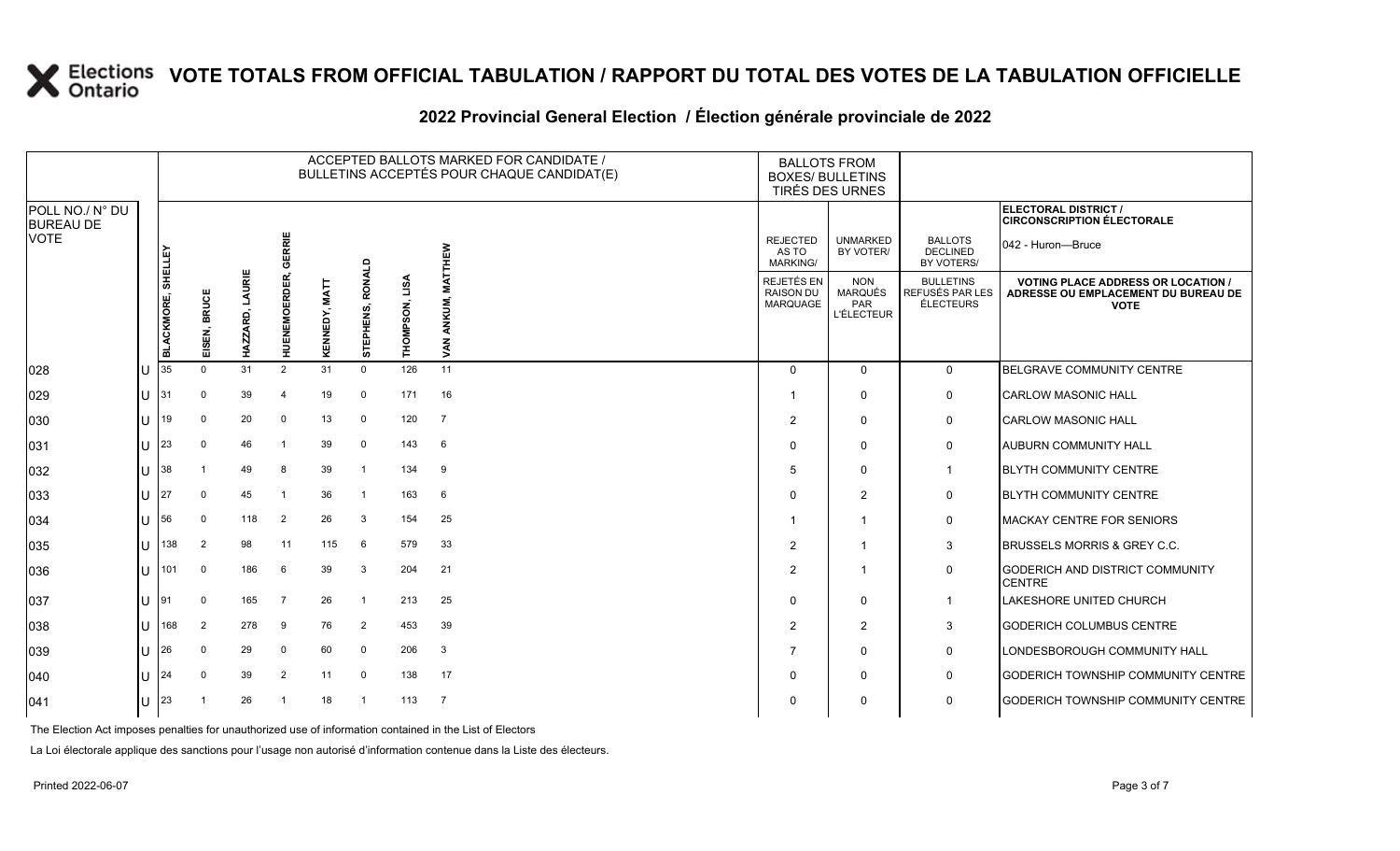|                                     |              |                   |                            |                    |                     |               |                     |                   | ACCEPTED BALLOTS MARKED FOR CANDIDATE /<br>BULLETINS ACCEPTÉS POUR CHAQUE CANDIDAT(E) | <b>BALLOTS FROM</b><br><b>BOXES/ BULLETINS</b><br><b>TIRÉS DES URNES</b> |                                                          |                                                  |                                                                                                 |
|-------------------------------------|--------------|-------------------|----------------------------|--------------------|---------------------|---------------|---------------------|-------------------|---------------------------------------------------------------------------------------|--------------------------------------------------------------------------|----------------------------------------------------------|--------------------------------------------------|-------------------------------------------------------------------------------------------------|
| POLL NO./ N° DU<br><b>BUREAU DE</b> |              |                   |                            |                    |                     |               |                     |                   |                                                                                       |                                                                          |                                                          |                                                  | ELECTORAL DISTRICT /<br><b>CIRCONSCRIPTION ÉLECTORALE</b>                                       |
| <b>VOTE</b>                         |              | <b>SHELLEY</b>    |                            |                    | GERRIE              |               |                     |                   | ៜ                                                                                     | <b>REJECTED</b><br>AS TO<br><b>MARKING/</b>                              | <b>UNMARKED</b><br>BY VOTER/                             | <b>BALLOTS</b><br><b>DECLINED</b><br>BY VOTERS/  | 042 - Huron-Bruce                                                                               |
|                                     |              | <b>BLACKMORE,</b> | <b>BRUCE</b><br>ISEN,<br>画 | LAURIE<br>HAZZARD, | <b>HUENEMOERDER</b> | KENNEDY, MATT | RONALD<br>STEPHENS, | LISA<br>THOMPSON, | ξ                                                                                     | REJETÉS EN<br>RAISON DU<br><b>MARQUAGE</b>                               | <b>NON</b><br><b>MARQUÉS</b><br>PAR<br><b>L'ÉLECTEUR</b> | <b>BULLETINS</b><br>REFUSÉS PAR LES<br>ÉLECTEURS | <b>VOTING PLACE ADDRESS OR LOCATION /</b><br>ADRESSE OU EMPLACEMENT DU BUREAU DE<br><b>VOTE</b> |
| 028                                 |              | 35                | $\Omega$                   | 31                 | 2                   | 31            | $\mathbf 0$         | 126               | 11                                                                                    | $\mathbf 0$                                                              | $\Omega$                                                 | $\mathbf 0$                                      | BELGRAVE COMMUNITY CENTRE                                                                       |
| 029                                 | U            | 31                | 0                          | 39                 | $\overline{4}$      | 19            | 0                   | 171               | 16                                                                                    | $\mathbf{1}$                                                             | $\Omega$                                                 | 0                                                | <b>CARLOW MASONIC HALL</b>                                                                      |
| 030                                 | $\mathbf{U}$ | 19                | 0                          | 20                 | 0                   | 13            | 0                   | 120               | $\overline{7}$                                                                        | 2                                                                        | $\Omega$                                                 | 0                                                | <b>CARLOW MASONIC HALL</b>                                                                      |
| 031                                 | $\mathbf{U}$ | 23                | $\mathbf 0$                | 46                 | -1                  | 39            | 0                   | 143               | 6                                                                                     | $\mathbf 0$                                                              | $\Omega$                                                 | 0                                                | <b>AUBURN COMMUNITY HALL</b>                                                                    |
| 032                                 |              | 38                |                            | 49                 | 8                   | 39            | $\overline{1}$      | 134               | 9                                                                                     | 5                                                                        | $\Omega$                                                 | $\mathbf{1}$                                     | <b>BLYTH COMMUNITY CENTRE</b>                                                                   |
| 033                                 |              | 127               | $\mathbf 0$                | 45                 |                     | 36            | $\mathbf{1}$        | 163               | 6                                                                                     | $\mathbf 0$                                                              | 2                                                        | 0                                                | <b>BLYTH COMMUNITY CENTRE</b>                                                                   |
| 034                                 | U            | 56                | 0                          | 118                | 2                   | 26            | 3                   | 154               | 25                                                                                    | $\mathbf{1}$                                                             |                                                          | $\mathbf 0$                                      | <b>MACKAY CENTRE FOR SENIORS</b>                                                                |
| 035                                 | U            | 138               | 2                          | 98                 | 11                  | 115           | 6                   | 579               | 33                                                                                    | 2                                                                        | -1                                                       | 3                                                | <b>BRUSSELS MORRIS &amp; GREY C.C.</b>                                                          |
| 036                                 | $\mathbf{U}$ | 101               | $\mathbf 0$                | 186                | 6                   | 39            | 3                   | 204               | 21                                                                                    | 2                                                                        |                                                          | $\mathbf 0$                                      | <b>GODERICH AND DISTRICT COMMUNITY</b><br><b>CENTRE</b>                                         |
| 037                                 | $\mathbf{U}$ | 191               | $\mathbf 0$                | 165                | $\overline{7}$      | 26            | $\mathbf{1}$        | 213               | 25                                                                                    | $\mathbf 0$                                                              | $\Omega$                                                 | $\mathbf 1$                                      | LAKESHORE UNITED CHURCH                                                                         |
| 038                                 | U            | 168               | $\overline{2}$             | 278                | 9                   | 76            | 2                   | 453               | 39                                                                                    | 2                                                                        | 2                                                        | 3                                                | <b>GODERICH COLUMBUS CENTRE</b>                                                                 |
| 039                                 |              | 26                | $\mathbf 0$                | 29                 | $\mathbf 0$         | 60            | $\mathbf 0$         | 206               | $\mathbf{3}$                                                                          | $\overline{7}$                                                           | $\Omega$                                                 | 0                                                | LONDESBOROUGH COMMUNITY HALL                                                                    |
| 040                                 | U            |                   | $\Omega$                   | 39                 | $\overline{2}$      | 11            | $\mathbf 0$         | 138               | 17                                                                                    | $\mathbf 0$                                                              | $\Omega$                                                 | $\mathbf 0$                                      | GODERICH TOWNSHIP COMMUNITY CENTRE                                                              |
| 041                                 | U            | 23                |                            | 26                 |                     | 18            | $\mathbf{1}$        | 113               | 7                                                                                     | $\mathbf 0$                                                              | $\Omega$                                                 | $\mathbf 0$                                      | <b>GODERICH TOWNSHIP COMMUNITY CENTRE</b>                                                       |

### **2022 Provincial General Election / Élection générale provinciale de 2022**

The Election Act imposes penalties for unauthorized use of information contained in the List of Electors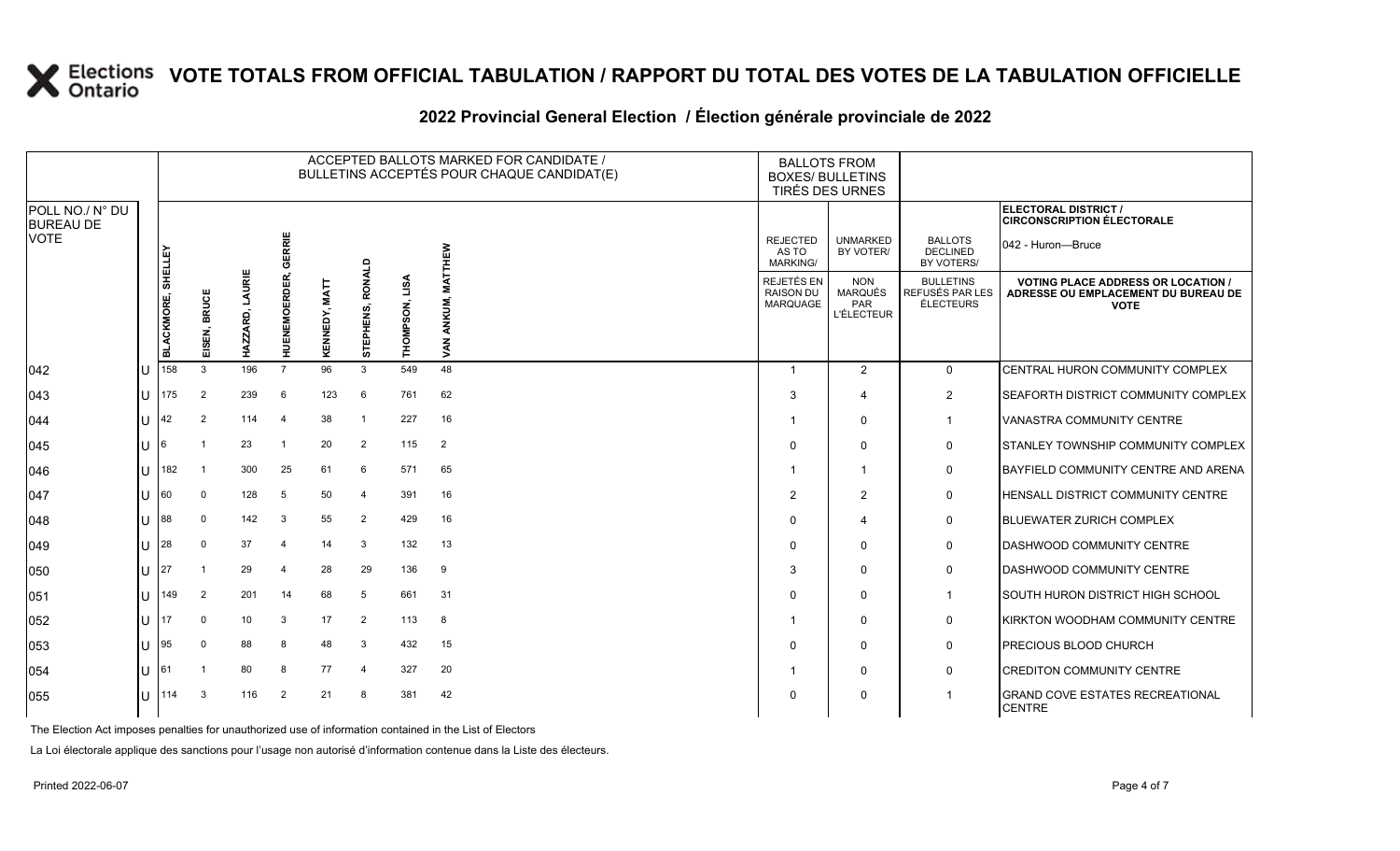|                                     |     |                   |                            |                               |                         |                  |                     |                   |                    | ACCEPTED BALLOTS MARKED FOR CANDIDATE /<br>BULLETINS ACCEPTÉS POUR CHAQUE CANDIDAT(E) | <b>BALLOTS FROM</b><br><b>BOXES/ BULLETINS</b><br>TIRÉS DES URNES |                                                          |                                                         |                                                                                                 |
|-------------------------------------|-----|-------------------|----------------------------|-------------------------------|-------------------------|------------------|---------------------|-------------------|--------------------|---------------------------------------------------------------------------------------|-------------------------------------------------------------------|----------------------------------------------------------|---------------------------------------------------------|-------------------------------------------------------------------------------------------------|
| POLL NO./ N° DU<br><b>BUREAU DE</b> |     |                   |                            |                               |                         |                  |                     |                   |                    |                                                                                       |                                                                   |                                                          |                                                         | ELECTORAL DISTRICT /<br><b>CIRCONSCRIPTION ÉLECTORALE</b>                                       |
| <b>VOTE</b>                         |     | <b>SHELLEY</b>    |                            |                               | ERRIE<br>$\overline{c}$ |                  |                     |                   | <b>THEW</b>        |                                                                                       | <b>REJECTED</b><br>AS TO<br><b>MARKING/</b>                       | <b>UNMARKED</b><br>BY VOTER/                             | <b>BALLOTS</b><br><b>DECLINED</b><br>BY VOTERS/         | 042 - Huron—Bruce                                                                               |
|                                     |     | <b>BLACKMORE,</b> | <b>BRUCE</b><br>ISEN,<br>画 | LAURIE<br>6.<br><b>HAZZAI</b> | <b>HUENEMOERDER</b>     | MATT<br>KENNEDY, | RONALD<br>STEPHENS, | LISA<br>THOMPSON, | ≨<br>ANKUM,<br>VAN |                                                                                       | <b>REJETÉS EN</b><br><b>RAISON DU</b><br><b>MARQUAGE</b>          | <b>NON</b><br><b>MARQUÉS</b><br>PAR<br><b>L'ÉLECTEUR</b> | <b>BULLETINS</b><br>REFUSÉS PAR LES<br><b>ÉLECTEURS</b> | <b>VOTING PLACE ADDRESS OR LOCATION /</b><br>ADRESSE OU EMPLACEMENT DU BUREAU DE<br><b>VOTE</b> |
| 042                                 |     | 158               | 3                          | 196                           | $\overline{7}$          | 96               | 3                   | 549               | 48                 |                                                                                       | $\overline{\mathbf{1}}$                                           | 2                                                        | $\mathbf 0$                                             | CENTRAL HURON COMMUNITY COMPLEX                                                                 |
| 043                                 | ПJ  | 175               | $\overline{2}$             | 239                           | 6                       | 123              | 6                   | 761               | 62                 |                                                                                       | 3                                                                 | 4                                                        | 2                                                       | <b>ISEAFORTH DISTRICT COMMUNITY COMPLEX</b>                                                     |
| 044                                 | ΙU  | 42                | $\overline{2}$             | 114                           | $\overline{4}$          | 38               |                     | 227               | 16                 |                                                                                       | -1                                                                | $\mathbf{0}$                                             | -1                                                      | <b>VANASTRA COMMUNITY CENTRE</b>                                                                |
| 045                                 |     | 16                | -1                         | 23                            | -1                      | 20               | $\overline{2}$      | 115               | 2                  |                                                                                       | $\Omega$                                                          | $\mathbf{0}$                                             | 0                                                       | STANLEY TOWNSHIP COMMUNITY COMPLEX                                                              |
| 046                                 | ПJ  | 182               | - 1                        | 300                           | 25                      | 61               | 6                   | 571               | 65                 |                                                                                       |                                                                   |                                                          | 0                                                       | BAYFIELD COMMUNITY CENTRE AND ARENA                                                             |
| 047                                 | IU. | 60                | 0                          | 128                           | 5                       | 50               | $\overline{4}$      | 391               | 16                 |                                                                                       | 2                                                                 | 2                                                        | 0                                                       | <b>HENSALL DISTRICT COMMUNITY CENTRE</b>                                                        |
| 048                                 |     | 88                | 0                          | 142                           | 3                       | 55               | $\overline{2}$      | 429               | 16                 |                                                                                       | 0                                                                 | 4                                                        | 0                                                       | <b>BLUEWATER ZURICH COMPLEX</b>                                                                 |
| 049                                 | ПJ  | 28                | $\Omega$                   | 37                            | $\overline{4}$          | 14               | 3                   | 132               | 13                 |                                                                                       | $\Omega$                                                          | $\Omega$                                                 | $\mathbf 0$                                             | <b>DASHWOOD COMMUNITY CENTRE</b>                                                                |
| 050                                 | ΙU  | 127               |                            | 29                            | 4                       | 28               | 29                  | 136               | 9                  |                                                                                       | 3                                                                 | $\mathbf{0}$                                             | 0                                                       | <b>DASHWOOD COMMUNITY CENTRE</b>                                                                |
| 051                                 | ПT  | 149               | $\overline{2}$             | 201                           | 14                      | 68               | 5                   | 661               | 31                 |                                                                                       | O                                                                 | $\mathbf{0}$                                             | $\mathbf{1}$                                            | SOUTH HURON DISTRICT HIGH SCHOOL                                                                |
| 052                                 | IU. |                   | $\mathbf 0$                | 10 <sup>°</sup>               | 3                       | 17               | 2                   | 113               | 8                  |                                                                                       |                                                                   | $\mathbf{0}$                                             | 0                                                       | KIRKTON WOODHAM COMMUNITY CENTRE                                                                |
| 053                                 | ПJ  | 95                | $\mathbf 0$                | 88                            | 8                       | 48               | 3                   | 432               | 15                 |                                                                                       | $\Omega$                                                          | $\mathbf{0}$                                             | 0                                                       | <b>PRECIOUS BLOOD CHURCH</b>                                                                    |
| 054                                 |     | 161               |                            | 80                            | 8                       | 77               | $\overline{a}$      | 327               | 20                 |                                                                                       | -1                                                                | 0                                                        | 0                                                       | <b>CREDITON COMMUNITY CENTRE</b>                                                                |
| 055                                 | ПJ  | 114               | 3                          | 116                           | 2                       | 21               | 8                   | 381               | 42                 |                                                                                       | $\Omega$                                                          | 0                                                        | -1                                                      | <b>GRAND COVE ESTATES RECREATIONAL</b><br><b>CENTRE</b>                                         |

### **2022 Provincial General Election / Élection générale provinciale de 2022**

The Election Act imposes penalties for unauthorized use of information contained in the List of Electors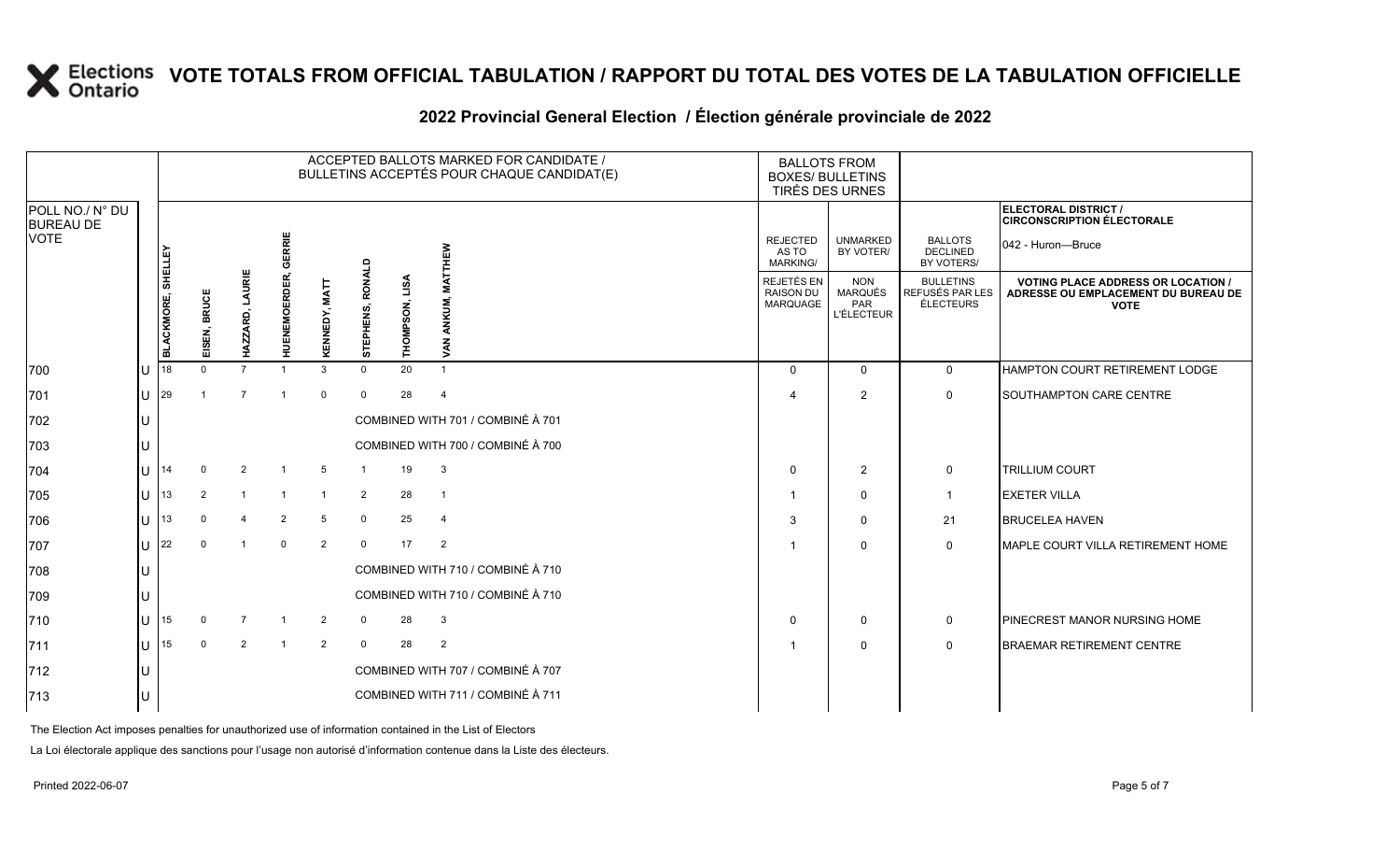|                                     |              |                    |                |                    |                      |                |                     |                | ACCEPTED BALLOTS MARKED FOR CANDIDATE /<br>BULLETINS ACCEPTÉS POUR CHAQUE CANDIDAT(E) | <b>BALLOTS FROM</b><br><b>BOXES/ BULLETINS</b>    | TIRÉS DES URNES                                          |                                                         |                                                                                                 |
|-------------------------------------|--------------|--------------------|----------------|--------------------|----------------------|----------------|---------------------|----------------|---------------------------------------------------------------------------------------|---------------------------------------------------|----------------------------------------------------------|---------------------------------------------------------|-------------------------------------------------------------------------------------------------|
| POLL NO./ N° DU<br><b>BUREAU DE</b> |              |                    |                |                    |                      |                |                     |                |                                                                                       |                                                   |                                                          |                                                         | ELECTORAL DISTRICT /<br><b>CIRCONSCRIPTION ÉLECTORALE</b>                                       |
| <b>VOTE</b>                         |              |                    |                |                    | GERRIE               |                |                     |                | THEW                                                                                  | <b>REJECTED</b><br>AS TO<br><b>MARKING/</b>       | <b>UNMARKED</b><br>BY VOTER/                             | <b>BALLOTS</b><br><b>DECLINED</b><br>BY VOTERS/         | 042 - Huron—Bruce                                                                               |
|                                     |              | BLACKMORE, SHELLEY | EISEN, BRUCE   | LAURIE<br>HAZZARD, | <b>HUENEMOERDER,</b> | KENNEDY, MATT  | RONALD<br>STEPHENS, | THOMPSON, LISA | ANKUM,<br><b>AN</b>                                                                   | REJETÉS EN<br><b>RAISON DU</b><br><b>MARQUAGE</b> | <b>NON</b><br><b>MARQUÉS</b><br>PAR<br><b>L'ÉLECTEUR</b> | <b>BULLETINS</b><br>REFUSÉS PAR LES<br><b>ÉLECTEURS</b> | <b>VOTING PLACE ADDRESS OR LOCATION /</b><br>ADRESSE OU EMPLACEMENT DU BUREAU DE<br><b>VOTE</b> |
| 700                                 |              | 18                 | $\Omega$       | $\overline{7}$     |                      | 3              | $\mathbf 0$         | 20             | $\mathbf{1}$                                                                          | $\Omega$                                          | $\Omega$                                                 | $\mathbf 0$                                             | HAMPTON COURT RETIREMENT LODGE                                                                  |
| 701                                 | ΠT           | 29                 |                | $\overline{7}$     | -1                   | $\mathbf 0$    | $\mathbf 0$         | 28             | $\overline{4}$                                                                        | Δ                                                 | 2                                                        | $\mathbf 0$                                             | <b>SOUTHAMPTON CARE CENTRE</b>                                                                  |
| 702                                 |              |                    |                |                    |                      |                |                     |                | COMBINED WITH 701 / COMBINÉ À 701                                                     |                                                   |                                                          |                                                         |                                                                                                 |
| 703                                 |              |                    |                |                    |                      |                |                     |                | COMBINED WITH 700 / COMBINÉ À 700                                                     |                                                   |                                                          |                                                         |                                                                                                 |
| 704                                 |              | 14                 | $\Omega$       | 2                  | -1                   | 5              |                     | 19             | 3                                                                                     | $\mathbf 0$                                       | 2                                                        | $\mathbf 0$                                             | <b>TRILLIUM COURT</b>                                                                           |
| 705                                 | $\mathbf{U}$ | 13                 | $\overline{2}$ |                    |                      |                | $\overline{2}$      | 28             | -1                                                                                    | -1                                                | $\mathbf 0$                                              | $\overline{1}$                                          | <b>EXETER VILLA</b>                                                                             |
| 706                                 | $\mathbf{L}$ | 13                 | $\Omega$       |                    | $\overline{2}$       | 5              | $\mathbf 0$         | 25             | 4                                                                                     | 3                                                 | $\mathbf 0$                                              | 21                                                      | <b>BRUCELEA HAVEN</b>                                                                           |
| 707                                 |              | 22                 | $\Omega$       | -1                 | $\mathbf{0}$         | $\overline{2}$ | $\Omega$            | 17             | 2                                                                                     | -1                                                | $\Omega$                                                 | $\Omega$                                                | MAPLE COURT VILLA RETIREMENT HOME                                                               |
| 708                                 |              |                    |                |                    |                      |                |                     |                | COMBINED WITH 710 / COMBINÉ À 710                                                     |                                                   |                                                          |                                                         |                                                                                                 |
| 709                                 |              |                    |                |                    |                      |                |                     |                | COMBINED WITH 710 / COMBINÉ À 710                                                     |                                                   |                                                          |                                                         |                                                                                                 |
| 710                                 |              | 15                 | $\Omega$       |                    | -1                   | 2              | $\Omega$            | 28             | 3                                                                                     | $\Omega$                                          | $\mathbf 0$                                              | 0                                                       | <b>PINECREST MANOR NURSING HOME</b>                                                             |
| 711                                 | $\mathbf{H}$ | 15                 | $\Omega$       | 2                  | $\overline{1}$       | $\overline{2}$ | $\mathbf 0$         | 28             | $\overline{2}$                                                                        | -1                                                | $\mathbf 0$                                              | $\mathbf 0$                                             | <b>BRAEMAR RETIREMENT CENTRE</b>                                                                |
| 712                                 |              |                    |                |                    |                      |                |                     |                | COMBINED WITH 707 / COMBINÉ À 707                                                     |                                                   |                                                          |                                                         |                                                                                                 |
| 713                                 |              |                    |                |                    |                      |                |                     |                | COMBINED WITH 711 / COMBINÉ À 711                                                     |                                                   |                                                          |                                                         |                                                                                                 |
|                                     |              |                    |                |                    |                      |                |                     |                |                                                                                       |                                                   |                                                          |                                                         |                                                                                                 |

### **2022 Provincial General Election / Élection générale provinciale de 2022**

The Election Act imposes penalties for unauthorized use of information contained in the List of Electors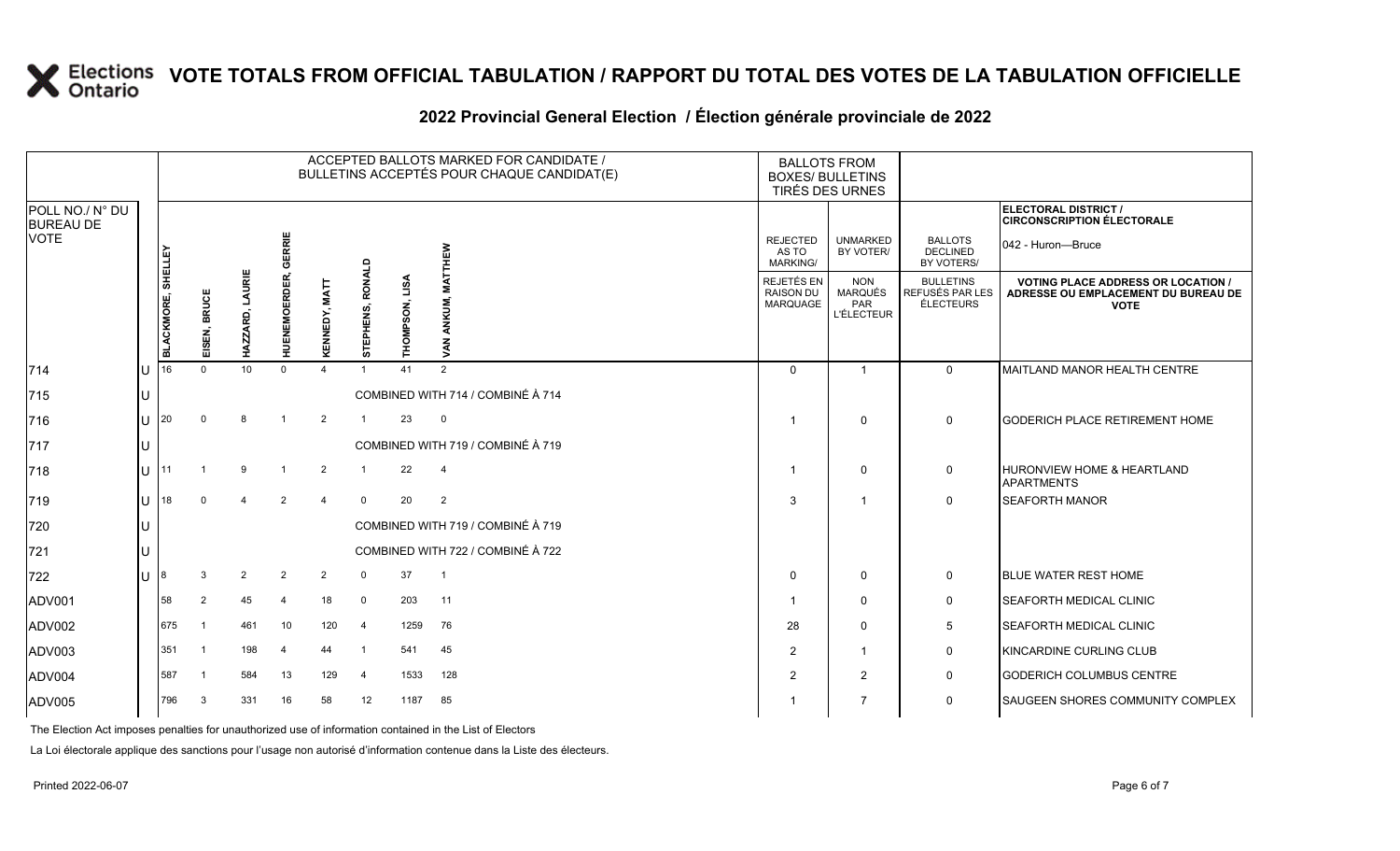|                                     |    |                         |                           |                    |                     |                    |                  |                   | ACCEPTED BALLOTS MARKED FOR CANDIDATE /<br>BULLETINS ACCEPTÉS POUR CHAQUE CANDIDAT(E) | <b>BALLOTS FROM</b><br><b>BOXES/ BULLETINS</b>    | TIRÉS DES URNES                                   |                                                         |                                                                                                 |
|-------------------------------------|----|-------------------------|---------------------------|--------------------|---------------------|--------------------|------------------|-------------------|---------------------------------------------------------------------------------------|---------------------------------------------------|---------------------------------------------------|---------------------------------------------------------|-------------------------------------------------------------------------------------------------|
| POLL NO./ N° DU<br><b>BUREAU DE</b> |    |                         |                           |                    |                     |                    |                  |                   |                                                                                       |                                                   |                                                   |                                                         | ELECTORAL DISTRICT /<br><b>CIRCONSCRIPTION ÉLECTORALE</b>                                       |
| <b>VOTE</b>                         |    | <b>SHELLEY</b>          |                           |                    | GERRIE              |                    |                  |                   | 옯                                                                                     | <b>REJECTED</b><br>AS TO<br><b>MARKING/</b>       | <b>UNMARKED</b><br>BY VOTER/                      | <b>BALLOTS</b><br><b>DECLINED</b><br>BY VOTERS/         | 042 - Huron-Bruce                                                                               |
|                                     |    | <b>BLACKMORE,</b><br>16 | <b>BRUCE</b><br>SEN,<br>面 | LAURIE<br>HAZZARD, | <b>HUENEMOERDER</b> | KENNEDY, MATT      | STEPHENS, RONALD | LISA<br>THOMPSON, | <b>ANKU</b><br>VAN                                                                    | REJETÉS EN<br><b>RAISON DU</b><br><b>MARQUAGE</b> | <b>NON</b><br>MARQUÉS<br>PAR<br><b>L'ÉLECTEUR</b> | <b>BULLETINS</b><br>REFUSÉS PAR LES<br><b>ÉLECTEURS</b> | <b>VOTING PLACE ADDRESS OR LOCATION /</b><br>ADRESSE OU EMPLACEMENT DU BUREAU DE<br><b>VOTE</b> |
| 714                                 | IU |                         | $\Omega$                  | 10                 | $\Omega$            | $\mathbf{\Lambda}$ | $\overline{1}$   | 41                | 2                                                                                     | $\Omega$                                          | $\overline{1}$                                    | $\Omega$                                                | MAITLAND MANOR HEALTH CENTRE                                                                    |
| 715                                 | IU |                         |                           |                    |                     |                    |                  |                   | COMBINED WITH 714 / COMBINÉ À 714                                                     |                                                   |                                                   |                                                         |                                                                                                 |
| 716                                 | U  | I20                     | $\Omega$                  | 8                  | $\overline{1}$      | $\overline{2}$     | $\overline{1}$   | 23                | $\mathbf 0$                                                                           | -1                                                | $\mathbf 0$                                       | $\mathbf 0$                                             | <b>GODERICH PLACE RETIREMENT HOME</b>                                                           |
| 717                                 | IU |                         |                           |                    |                     |                    |                  |                   | COMBINED WITH 719 / COMBINÉ À 719                                                     |                                                   |                                                   |                                                         |                                                                                                 |
| 718                                 | IU |                         |                           | 9                  | -1                  | $\overline{2}$     | $\overline{1}$   | 22                | $\overline{4}$                                                                        | -1                                                | $\mathbf 0$                                       | 0                                                       | HURONVIEW HOME & HEARTLAND<br><b>APARTMENTS</b>                                                 |
| 719                                 | ΙU | 18                      | $\Omega$                  | 4                  | 2                   | $\overline{4}$     | $\overline{0}$   | 20                | $\overline{2}$                                                                        | 3                                                 |                                                   | $\mathbf 0$                                             | <b>SEAFORTH MANOR</b>                                                                           |
| 720                                 | ΙU |                         |                           |                    |                     |                    |                  |                   | COMBINED WITH 719 / COMBINÉ À 719                                                     |                                                   |                                                   |                                                         |                                                                                                 |
| 721                                 | IU |                         |                           |                    |                     |                    |                  |                   | COMBINED WITH 722 / COMBINÉ À 722                                                     |                                                   |                                                   |                                                         |                                                                                                 |
| 722                                 | IU | 18                      | 3                         | 2                  | $\overline{2}$      | $\overline{2}$     | $\mathbf 0$      | 37                | $\overline{1}$                                                                        | $\Omega$                                          | $\Omega$                                          | 0                                                       | <b>BLUE WATER REST HOME</b>                                                                     |
| ADV001                              |    | 58                      | 2                         | 45                 | $\overline{4}$      | 18                 | $\mathbf 0$      | 203               | 11                                                                                    |                                                   | $\Omega$                                          | 0                                                       | <b>SEAFORTH MEDICAL CLINIC</b>                                                                  |
| ADV002                              |    | 675                     |                           | 461                | 10                  | 120                | $\overline{4}$   | 1259              | 76                                                                                    | 28                                                | $\mathbf 0$                                       | 5                                                       | <b>SEAFORTH MEDICAL CLINIC</b>                                                                  |
| ADV003                              |    | 351                     | -1                        | 198                | $\overline{4}$      | 44                 | $\overline{1}$   | 541               | 45                                                                                    | $\mathfrak{p}$                                    | $\mathbf{1}$                                      | 0                                                       | KINCARDINE CURLING CLUB                                                                         |
| ADV004                              |    | 587                     | -1                        | 584                | 13                  | 129                | 4                | 1533              | 128                                                                                   | 2                                                 | $\overline{2}$                                    | 0                                                       | <b>GODERICH COLUMBUS CENTRE</b>                                                                 |
| ADV005                              |    | 796                     | 3                         | 331                | 16                  | 58                 | 12               | 1187              | 85                                                                                    | -1                                                | $\overline{7}$                                    | 0                                                       | <b>SAUGEEN SHORES COMMUNITY COMPLEX</b>                                                         |

### **2022 Provincial General Election / Élection générale provinciale de 2022**

The Election Act imposes penalties for unauthorized use of information contained in the List of Electors